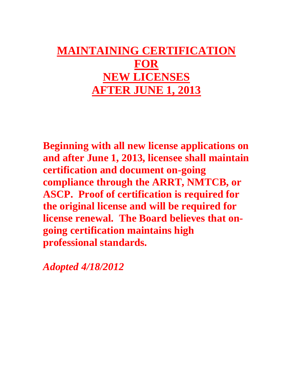# **MAINTAINING CERTIFICATION FOR NEW LICENSES AFTER JUNE 1, 2013**

**Beginning with all new license applications on and after June 1, 2013, licensee shall maintain certification and document on-going compliance through the ARRT, NMTCB, or ASCP. Proof of certification is required for the original license and will be required for license renewal. The Board believes that ongoing certification maintains high professional standards.** 

*Adopted 4/18/2012*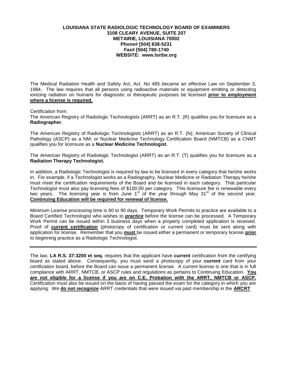#### **LOUISIANA STATE RADIOLOGIC TECHNOLOGY BOARD OF EXAMINERS 3108 CLEARY AVENUE, SUITE 207 METAIRIE, LOUISIANA 70002 Phone# [504] 838-5231 Fax# [504] 780-1740 WEBSITE: www.lsrtbe.org**

The Medical Radiation Health and Safety Act, Act. No 485 became an effective Law on September 3, 1984. The law requires that all persons using radioactive materials or equipment emitting or detecting ionizing radiation on humans for diagnostic or therapeutic purposes be licensed **prior to employment where a license is required.**

#### Certification from:

The American Registry of Radiologic Technologists (ARRT) as an R.T. (R) qualifies you for licensure as a **Radiographer.** 

The American Registry of Radiologic Technologists (ARRT) as an R.T. (N); American Society of Clinical Pathology (ASCP) as a NM; or Nuclear Medicine Technology Certification Board (NMTCB) as a CNMT qualifies you for licensure as a **Nuclear Medicine Technologist.** 

The American Registry of Radiologic Technologist (ARRT) as an R.T. (T) qualifies you for licensure as a **Radiation Therapy Technologist.** 

In addition, a Radiologic Technologist is required by law to be licensed in every category that he/she works in. For example, if a Technologist works as a Radiography, Nuclear Medicine or Radiation Therapy he/she must meet the certification requirements of the Board and be licensed in each category. That particular Technologist must also pay licensing fees of \$100.00 per category. This licensure fee is renewable every two years. The licensing year is from June 1<sup>st</sup> of the year through May 31<sup>st</sup> of the second year. **Continuing Education will be required for renewal of license.**

Minimum License processing time is 60 to 90 days. Temporary Work Permits to practice are available to a Board Certified Technologist who wishes to *practice* before the license can be processed. A Temporary Work Permit can be issued within 3 business days when a properly completed application is received. Proof of **current certification** (photocopy of certification or current card) must be sent along with application for license. Remember that you **must** be issued either a permanent or temporary license **prior**  to beginning practice as a Radiologic Technologist.

The law, **LA R.S. 37:3200 et seq.** requires that the applicant have **current** certification from the certifying board as stated above. Consequently, you must send a photocopy of your **current** card from your certification board, before the Board can issue a permanent license. A current license is one that is in full compliance with ARRT, NMTCB, or ASCP rules and regulations as pertains to Continuing Education. **You are not eligible for a license if you are on C.E. Probation with the ARRT, NMTCB or ASCP.** Certification must also be issued on the basis of having passed the exam for the category in which you are applying. We **do not recognize** ARRT credentials that were issued via past membership in the **ARCRT**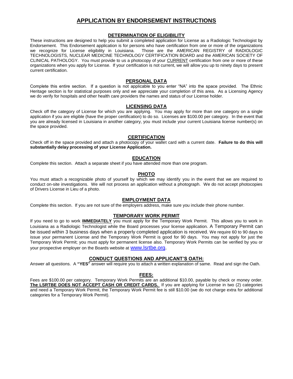#### **APPLICATION BY ENDORSEMENT INSTRUCTIONS**

#### **DETERMINATION OF ELIGIBILITY**

These instructions are designed to help you submit a completed application for License as a Radiologic Technologist by Endorsement. This Endorsement application is for persons who have certification from one or more of the organizations we recognize for License eligibility in Louisiana. Those are the AMERICAN REGISTRY of RADIOLOGIC TECHNOLOGISTS, NUCLEAR MEDICINE TECHNOLOGY CERTIFICATION BOARD and the AMERICAN SOCIETY OF CLINICAL PATHOLOGY. You must provide to us a photocopy of your CURRENT certification from one or more of these organizations when you apply for License. If your certification is not current, we will allow you up to ninety days to present current certification.

#### **PERSONAL DATA**

Complete this entire section. If a question is not applicable to you enter "NA" into the space provided. The Ethnic Heritage section is for statistical purposes only and we appreciate your completion of this area. As a Licensing Agency we do verify for hospitals and other health care providers the names and status of our License holder.

#### **LICENSING DATA**

Check off the category of License for which you are applying. You may apply for more than one category on a single application if you are eligible (have the proper certification) to do so. Licenses are \$100.00 per category. In the event that you are already licensed in Louisiana in another category, you must include your current Louisiana license number(s) on the space provided.

#### **CERTIFICATION**

Check off in the space provided and attach a photocopy of your wallet card with a current date. **Failure to do this will substantially delay processing of your License Application.** 

#### **EDUCATION**

Complete this section. Attach a separate sheet if you have attended more than one program.

#### **PHOTO**

You must attach a recognizable photo of yourself by which we may identify you in the event that we are required to conduct on-site investigations. We will not process an application without a photograph. We do not accept photocopies of Drivers License in Lieu of a photo.

#### **EMPLOYMENT DATA**

Complete this section. If you are not sure of the employers address, make sure you include their phone number.

#### **TEMPORARY WORK PERMIT**

If you need to go to work **IMMEDIATELY** you must apply for the Temporary Work Permit. This allows you to work in Louisiana as a Radiologic Technologist while the Board processes your license application. A Temporary Permit can be issued within 3 business days when a properly completed application is received. We require 60 to 90 days to issue your permanent License and the Temporary Work Permit is good for 90 days. You may not apply for just the Temporary Work Permit; you must apply for permanent license also. Temporary Work Permits can be verified by you or your prospective employer on the Boards website a[t www.lsrtbe.org.](http://www.lsrtbe.org/)

#### **CONDUCT QUESTIONS AND APPLICANT'S OATH:**

Answer all questions. A **"YES"** answer will require you to attach a written explanation of same. Read and sign the Oath.

#### **FEES:**

Fees are \$100.00 per category. Temporary Work Permits are an additional \$10.00, payable by check or money order. **The LSRTBE DOES NOT ACCEPT CASH OR CREDIT CARDS.** If you are applying for License in two (2) categories and need a Temporary Work Permit, the Temporary Work Permit fee is still \$10.00 (we do not charge extra for additional categories for a Temporary Work Permit).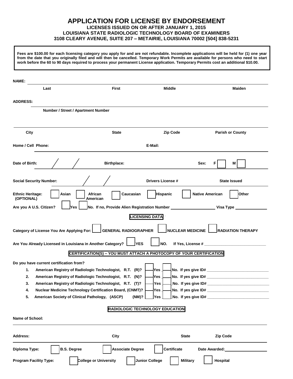#### **APPLICATION FOR LICENSE BY ENDORSEMENT LICENSES ISSUED ON OR AFTER JANUARY 1, 2015 LOUISIANA STATE RADIOLOGIC TECHNOLOGY BOARD OF EXAMINERS 3108 CLEARY AVENUE, SUITE 207 – METAIRIE, LOUISIANA 70002 [504] 838-5231**

**Fees are \$100.00 for each licensing category you apply for and are not refundable. Incomplete applications will be held for (1) one year from the date that you originally filed and will then be cancelled. Temporary Work Permits are available for persons who need to start work before the 60 to 90 days required to process your permanent License application. Temporary Permits cost an additional \$10.00.** 

| <b>Middle</b><br><b>Maiden</b><br>Last<br><b>First</b><br><b>ADDRESS:</b><br>Number / Street / Apartment Number<br>Zip Code<br>City<br><b>Parish or County</b><br><b>State</b><br>Home / Cell Phone:<br>E-Mail:<br>Date of Birth:<br><b>Birthplace:</b><br>Sex:<br>Μ<br><b>Social Security Number:</b><br><b>Drivers License #</b><br><b>State Issued</b><br><b>Native American</b><br>Other<br><b>Ethnic Heritage:</b><br>Asian<br>African<br><b>Hispanic</b><br>Caucasian<br>(OPTIONAL)<br>American<br>Are you A U.S. Citizen?<br>No. If no, Provide Alien Registration Number _<br>lYes<br>_ Visa Type _<br><b>LICENSING DATA</b><br>Category of License You Are Applying For:<br><b>GENERAL RADIOGRAPHER</b><br><b>NUCLEAR MEDICINE</b><br><b>RADIATION THERAPY</b><br>Are You Already Licensed in Louisiana in Another Category?<br>lYES<br>If Yes, License #<br>NO.<br>CERTIFICATION(S) - YOU MUST ATTACH A PHOTOCOPY OF YOUR CERTIFICATION<br>Do you have current certification from?<br>No. If yes give ID# _______________________________<br>American Registry of Radiologic Technologist, R.T. (R)?<br>1.<br>Yes.<br>2.<br>American Registry of Radiologic Technologist, R.T. (N)?<br>Yes<br>3.<br>American Registry of Radiologic Technologist, R.T. (T)?<br>Yes<br>_No. If yes give ID# ________________________<br>4.<br>Nuclear Medicine Technology Certification Board, (CNMT)? - Yes - [No. If yes give ID#<br>5.<br>American Society of Clinical Pathology, (ASCP)<br>$(NM)$ ?<br>∣Yes<br><b>RADIOLOGIC TECHNOLOGY EDUCATION</b><br><b>Name of School:</b><br><b>Address:</b><br>City<br><b>Zip Code</b><br><b>State</b><br><b>B.S. Degree</b><br><b>Certificate</b><br><b>Associate Degree</b><br>Diploma Type:<br><b>College or University</b><br><b>Junior College</b><br><b>Military</b><br>Hospital<br><b>Program Facility Type:</b> | <b>NAME:</b> |  |  |
|-------------------------------------------------------------------------------------------------------------------------------------------------------------------------------------------------------------------------------------------------------------------------------------------------------------------------------------------------------------------------------------------------------------------------------------------------------------------------------------------------------------------------------------------------------------------------------------------------------------------------------------------------------------------------------------------------------------------------------------------------------------------------------------------------------------------------------------------------------------------------------------------------------------------------------------------------------------------------------------------------------------------------------------------------------------------------------------------------------------------------------------------------------------------------------------------------------------------------------------------------------------------------------------------------------------------------------------------------------------------------------------------------------------------------------------------------------------------------------------------------------------------------------------------------------------------------------------------------------------------------------------------------------------------------------------------------------------------------------------------------------------------------------------------------------------------------------------------------------------|--------------|--|--|
|                                                                                                                                                                                                                                                                                                                                                                                                                                                                                                                                                                                                                                                                                                                                                                                                                                                                                                                                                                                                                                                                                                                                                                                                                                                                                                                                                                                                                                                                                                                                                                                                                                                                                                                                                                                                                                                             |              |  |  |
|                                                                                                                                                                                                                                                                                                                                                                                                                                                                                                                                                                                                                                                                                                                                                                                                                                                                                                                                                                                                                                                                                                                                                                                                                                                                                                                                                                                                                                                                                                                                                                                                                                                                                                                                                                                                                                                             |              |  |  |
|                                                                                                                                                                                                                                                                                                                                                                                                                                                                                                                                                                                                                                                                                                                                                                                                                                                                                                                                                                                                                                                                                                                                                                                                                                                                                                                                                                                                                                                                                                                                                                                                                                                                                                                                                                                                                                                             |              |  |  |
|                                                                                                                                                                                                                                                                                                                                                                                                                                                                                                                                                                                                                                                                                                                                                                                                                                                                                                                                                                                                                                                                                                                                                                                                                                                                                                                                                                                                                                                                                                                                                                                                                                                                                                                                                                                                                                                             |              |  |  |
|                                                                                                                                                                                                                                                                                                                                                                                                                                                                                                                                                                                                                                                                                                                                                                                                                                                                                                                                                                                                                                                                                                                                                                                                                                                                                                                                                                                                                                                                                                                                                                                                                                                                                                                                                                                                                                                             |              |  |  |
|                                                                                                                                                                                                                                                                                                                                                                                                                                                                                                                                                                                                                                                                                                                                                                                                                                                                                                                                                                                                                                                                                                                                                                                                                                                                                                                                                                                                                                                                                                                                                                                                                                                                                                                                                                                                                                                             |              |  |  |
|                                                                                                                                                                                                                                                                                                                                                                                                                                                                                                                                                                                                                                                                                                                                                                                                                                                                                                                                                                                                                                                                                                                                                                                                                                                                                                                                                                                                                                                                                                                                                                                                                                                                                                                                                                                                                                                             |              |  |  |
|                                                                                                                                                                                                                                                                                                                                                                                                                                                                                                                                                                                                                                                                                                                                                                                                                                                                                                                                                                                                                                                                                                                                                                                                                                                                                                                                                                                                                                                                                                                                                                                                                                                                                                                                                                                                                                                             |              |  |  |
|                                                                                                                                                                                                                                                                                                                                                                                                                                                                                                                                                                                                                                                                                                                                                                                                                                                                                                                                                                                                                                                                                                                                                                                                                                                                                                                                                                                                                                                                                                                                                                                                                                                                                                                                                                                                                                                             |              |  |  |
|                                                                                                                                                                                                                                                                                                                                                                                                                                                                                                                                                                                                                                                                                                                                                                                                                                                                                                                                                                                                                                                                                                                                                                                                                                                                                                                                                                                                                                                                                                                                                                                                                                                                                                                                                                                                                                                             |              |  |  |
|                                                                                                                                                                                                                                                                                                                                                                                                                                                                                                                                                                                                                                                                                                                                                                                                                                                                                                                                                                                                                                                                                                                                                                                                                                                                                                                                                                                                                                                                                                                                                                                                                                                                                                                                                                                                                                                             |              |  |  |
|                                                                                                                                                                                                                                                                                                                                                                                                                                                                                                                                                                                                                                                                                                                                                                                                                                                                                                                                                                                                                                                                                                                                                                                                                                                                                                                                                                                                                                                                                                                                                                                                                                                                                                                                                                                                                                                             |              |  |  |
|                                                                                                                                                                                                                                                                                                                                                                                                                                                                                                                                                                                                                                                                                                                                                                                                                                                                                                                                                                                                                                                                                                                                                                                                                                                                                                                                                                                                                                                                                                                                                                                                                                                                                                                                                                                                                                                             |              |  |  |
|                                                                                                                                                                                                                                                                                                                                                                                                                                                                                                                                                                                                                                                                                                                                                                                                                                                                                                                                                                                                                                                                                                                                                                                                                                                                                                                                                                                                                                                                                                                                                                                                                                                                                                                                                                                                                                                             |              |  |  |
|                                                                                                                                                                                                                                                                                                                                                                                                                                                                                                                                                                                                                                                                                                                                                                                                                                                                                                                                                                                                                                                                                                                                                                                                                                                                                                                                                                                                                                                                                                                                                                                                                                                                                                                                                                                                                                                             |              |  |  |
|                                                                                                                                                                                                                                                                                                                                                                                                                                                                                                                                                                                                                                                                                                                                                                                                                                                                                                                                                                                                                                                                                                                                                                                                                                                                                                                                                                                                                                                                                                                                                                                                                                                                                                                                                                                                                                                             |              |  |  |
|                                                                                                                                                                                                                                                                                                                                                                                                                                                                                                                                                                                                                                                                                                                                                                                                                                                                                                                                                                                                                                                                                                                                                                                                                                                                                                                                                                                                                                                                                                                                                                                                                                                                                                                                                                                                                                                             |              |  |  |
|                                                                                                                                                                                                                                                                                                                                                                                                                                                                                                                                                                                                                                                                                                                                                                                                                                                                                                                                                                                                                                                                                                                                                                                                                                                                                                                                                                                                                                                                                                                                                                                                                                                                                                                                                                                                                                                             |              |  |  |
|                                                                                                                                                                                                                                                                                                                                                                                                                                                                                                                                                                                                                                                                                                                                                                                                                                                                                                                                                                                                                                                                                                                                                                                                                                                                                                                                                                                                                                                                                                                                                                                                                                                                                                                                                                                                                                                             |              |  |  |
|                                                                                                                                                                                                                                                                                                                                                                                                                                                                                                                                                                                                                                                                                                                                                                                                                                                                                                                                                                                                                                                                                                                                                                                                                                                                                                                                                                                                                                                                                                                                                                                                                                                                                                                                                                                                                                                             |              |  |  |
|                                                                                                                                                                                                                                                                                                                                                                                                                                                                                                                                                                                                                                                                                                                                                                                                                                                                                                                                                                                                                                                                                                                                                                                                                                                                                                                                                                                                                                                                                                                                                                                                                                                                                                                                                                                                                                                             |              |  |  |
|                                                                                                                                                                                                                                                                                                                                                                                                                                                                                                                                                                                                                                                                                                                                                                                                                                                                                                                                                                                                                                                                                                                                                                                                                                                                                                                                                                                                                                                                                                                                                                                                                                                                                                                                                                                                                                                             |              |  |  |
|                                                                                                                                                                                                                                                                                                                                                                                                                                                                                                                                                                                                                                                                                                                                                                                                                                                                                                                                                                                                                                                                                                                                                                                                                                                                                                                                                                                                                                                                                                                                                                                                                                                                                                                                                                                                                                                             |              |  |  |
|                                                                                                                                                                                                                                                                                                                                                                                                                                                                                                                                                                                                                                                                                                                                                                                                                                                                                                                                                                                                                                                                                                                                                                                                                                                                                                                                                                                                                                                                                                                                                                                                                                                                                                                                                                                                                                                             |              |  |  |
|                                                                                                                                                                                                                                                                                                                                                                                                                                                                                                                                                                                                                                                                                                                                                                                                                                                                                                                                                                                                                                                                                                                                                                                                                                                                                                                                                                                                                                                                                                                                                                                                                                                                                                                                                                                                                                                             |              |  |  |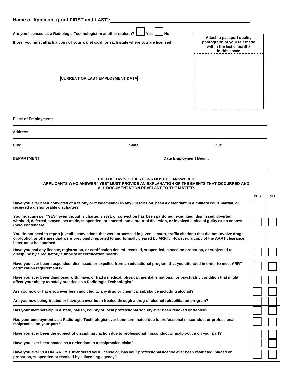| Name of Applicant (print FIRST and LAST):                                                                                                                                                                                                                                                       |            |           |  |  |  |  |
|-------------------------------------------------------------------------------------------------------------------------------------------------------------------------------------------------------------------------------------------------------------------------------------------------|------------|-----------|--|--|--|--|
| Are you licensed as a Radiologic Technologist in another state(s)?<br>Yes<br>No<br>Attach a passport quality<br>photograph of yourself made<br>If yes, you must attach a copy of your wallet card for each state where you are licensed.<br>within the last 6 months<br>in this space.          |            |           |  |  |  |  |
| <b>CURRENT OR LAST EMPLOYMENT DATA</b>                                                                                                                                                                                                                                                          |            |           |  |  |  |  |
| <b>Place of Employment:</b>                                                                                                                                                                                                                                                                     |            |           |  |  |  |  |
| <b>Address:</b>                                                                                                                                                                                                                                                                                 |            |           |  |  |  |  |
| City:<br>State:<br>Zip:                                                                                                                                                                                                                                                                         |            |           |  |  |  |  |
| <b>DEPARTMENT:</b><br>Date Employment Begin:                                                                                                                                                                                                                                                    |            |           |  |  |  |  |
| THE FOLLOWING QUESTIONS MUST BE ANSWERED.<br>APPLICANTS WHO ANSWER "YES" MUST PROVIDE AN EXPLANATION OF THE EVENTS THAT OCCURRED AND<br>ALL DOCUMENTATION REVELANT TO THE MATTER.                                                                                                               |            |           |  |  |  |  |
|                                                                                                                                                                                                                                                                                                 | <b>YES</b> | <b>NO</b> |  |  |  |  |
| Have you ever been convicted of a felony or misdemeanor in any jurisdiction, been a defendant in a military court martial, or<br>received a dishonorable discharge?                                                                                                                             |            |           |  |  |  |  |
| You must answer "YES" even though a charge, arrest, or conviction has been pardoned, expunged, dismissed, diverted,<br>withheld, deferred, stayed, set aside, suspended, or entered into a pre-trial diversion, or involved a plea of guilty or no contest<br>(nolo contendere).                |            |           |  |  |  |  |
| You do not need to report juvenile convictions that were processed in juvenile court, traffic citations that did not involve drugs<br>or alcohol, or offenses that were previously reported to and formally cleared by ARRT. However, a copy of the ARRT clearance<br>lletter must be attached. |            |           |  |  |  |  |
| Have you had any license, registration, or certification denied, revoked, suspended, placed on probation, or subjected to<br>discipline by a regulatory authority or certification board?                                                                                                       |            |           |  |  |  |  |
| Have you ever been suspended, dismissed, or expelled from an educational program that you attended in order to meet ARRT<br>certification requirements?                                                                                                                                         |            |           |  |  |  |  |
| Have you ever been diagnosed with, have, or had a medical, physical, mental, emotional, or psychiatric condition that might<br>affect your ability to safely practice as a Radiologic Technologist?                                                                                             |            |           |  |  |  |  |
|                                                                                                                                                                                                                                                                                                 |            |           |  |  |  |  |
| Are you now or have you ever been addicted to any drug or chemical substance including alcohol?                                                                                                                                                                                                 |            |           |  |  |  |  |
| Are you now being treated or have you ever been treated through a drug or alcohol rehabilitation program?                                                                                                                                                                                       |            |           |  |  |  |  |
| Has your membership in a state, parish, county or local professional society ever been revoked or denied?                                                                                                                                                                                       |            |           |  |  |  |  |
| Has your employment as a Radiologic Technologist ever been terminated due to professional misconduct or professional<br>malpractice on your part?                                                                                                                                               |            |           |  |  |  |  |
| Have you ever been the subject of disciplinary action due to professional misconduct or malpractice on your part?                                                                                                                                                                               |            |           |  |  |  |  |
| Have you ever been named as a defendant in a malpractice claim?                                                                                                                                                                                                                                 |            |           |  |  |  |  |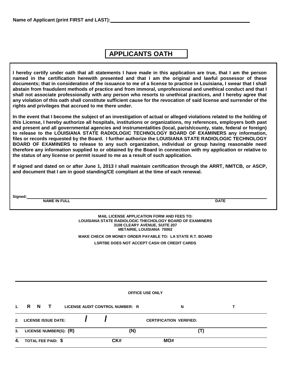### **APPLICANTS OATH**

**I hereby certify under oath that all statements I have made in this application are true, that I am the person named in the certification herewith presented and that I am the original and lawful possessor of these documents; that in consideration of the issuance to me of a license to practice in Louisiana, I swear that I shall abstain from fraudulent methods of practice and from immoral, unprofessional and unethical conduct and that I shall not associate professionally with any person who resorts to unethical practices, and I hereby agree that any violation of this oath shall constitute sufficient cause for the revocation of said license and surrender of the rights and privileges that accrued to me there under.** 

**In the event that I become the subject of an investigation of actual or alleged violations related to the holding of this License, I hereby authorize all hospitals, institutions or organizations, my references, employers both past and present and all governmental agencies and instrumentalities (local, parish/county, state, federal or foreign) to release to the LOUISIANA STATE RADIOLOGIC TECHNOLOGY BOARD OF EXAMINERS any information, files or records requested by the Board. I further authorize the LOUISIANA STATE RADIOLOGIC TECHNOLOGY BOARD OF EXAMINERS to release to any such organization, individual or group having reasonable need therefore any information supplied to or obtained by the Board in connection with my application or relative to the status of any license or permit issued to me as a result of such application.** 

**If signed and dated on or after June 1, 2013 I shall maintain certification through the ARRT, NMTCB, or ASCP, and document that I am in good standing/CE compliant at the time of each renewal.** 

**Signed: NAME IN FULL DATE** 

**MAIL LICENSE APPLICATION FORM AND FEES TO: LOUISIANA STATE RADIOLOGIC THECHOLOGY BOARD OF EXAMINERS 3108 CLEARY AVENUE, SUITE 207 METAIRIE, LOUISIANA 70002** 

**MAKE CHECK OR MONEY ORDER PAYABLE TO: LA STATE R.T. BOARD** 

**LSRTBE DOES NOT ACCEPT CASH OR CREDIT CARDS** 

|                | <b>OFFICE USE ONLY</b> |  |                            |                        |  |                                 |     |                                |   |  |
|----------------|------------------------|--|----------------------------|------------------------|--|---------------------------------|-----|--------------------------------|---|--|
| 1 <sup>1</sup> |                        |  | RN T                       |                        |  | LICENSE AUDIT CONTROL NUMBER: R |     | N                              |   |  |
| 2 <sup>1</sup> |                        |  | <b>LICENSE ISSUE DATE:</b> |                        |  |                                 |     | <b>CERTIFICATION VERIFIED:</b> |   |  |
| 3.             |                        |  |                            | LICENSE NUMBER(S): (R) |  |                                 | (N) |                                | Ш |  |
| 4.             |                        |  | TOTAL FEE PAID: \$         |                        |  | CK#                             |     | MO#                            |   |  |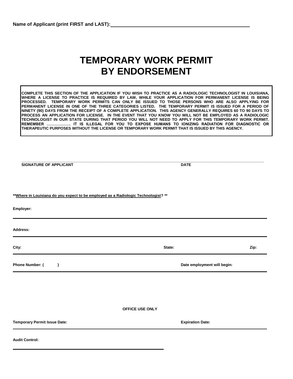## **TEMPORARY WORK PERMIT BY ENDORSEMENT**

**COMPLETE THIS SECTION OF THE APPLICATION IF YOU WISH TO PRACTICE AS A RADIOLOGIC TECHNOLOGIST IN LOUISIANA, WHERE A LICENSE TO PRACTICE IS REQUIRED BY LAW, WHILE YOUR APPLICATION FOR PERMANENT LICENSE IS BEING PROCESSED. TEMPORARY WORK PERMITS CAN ONLY BE ISSUED TO THOSE PERSONS WHO ARE ALSO APPLYING FOR PERMANENT LICENSE IN ONE OF THE THREE CATEGORIES LISTED. THE TEMPORARY PERMIT IS ISSUED FOR A PERIOD OF NINETY (90) DAYS FROM THE RECEIPT OF A COMPLETE APPLICATION. THIS AGENCY GENERALLY REQUIRES 60 TO 90 DAYS TO PROCESS AN APPLICATION FOR LICENSE. IN THE EVENT THAT YOU KNOW YOU WILL NOT BE EMPLOYED AS A RADIOLOGIC TECHNOLOGIST IN OUR STATE DURING THAT PERIOD YOU WILL NOT NEED TO APPLY FOR THIS TEMPORARY WORK PERMIT. REMEMBER ………………. IT IS ILLEGAL FOR YOU TO EXPOSE HUMANS TO IONIZING RADIATION FOR DIAGNOSTIC OR THERAPEUTIC PURPOSES WITHOUT THE LICENSE OR TEMPORARY WORK PERMIT THAT IS ISSUED BY THIS AGENCY.** 

| <b>DATE</b>             |                                                                                                                    |
|-------------------------|--------------------------------------------------------------------------------------------------------------------|
|                         |                                                                                                                    |
|                         |                                                                                                                    |
|                         |                                                                                                                    |
| State:                  | Zip:                                                                                                               |
|                         |                                                                                                                    |
|                         |                                                                                                                    |
| OFFICE USE ONLY         |                                                                                                                    |
| <b>Expiration Date:</b> |                                                                                                                    |
|                         |                                                                                                                    |
|                         | ** Where in Louisiana do you expect to be employed as a Radiologic Technologist? **<br>Date employment will begin: |